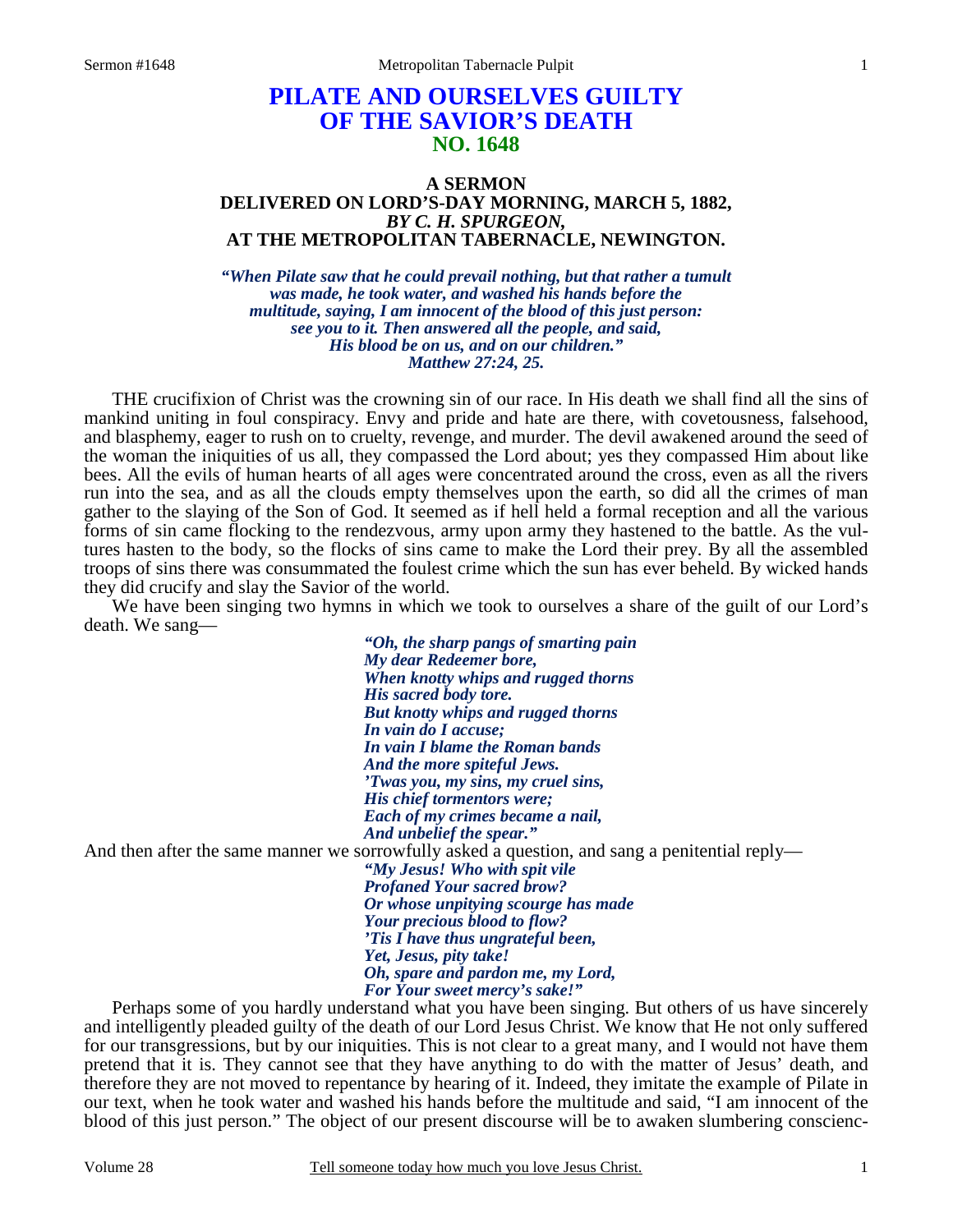## **PILATE AND OURSELVES GUILTY OF THE SAVIOR'S DEATH NO. 1648**

## **A SERMON DELIVERED ON LORD'S-DAY MORNING, MARCH 5, 1882,**  *BY C. H. SPURGEON,*  **AT THE METROPOLITAN TABERNACLE, NEWINGTON.**

*"When Pilate saw that he could prevail nothing, but that rather a tumult was made, he took water, and washed his hands before the multitude, saying, I am innocent of the blood of this just person: see you to it. Then answered all the people, and said, His blood be on us, and on our children." Matthew 27:24, 25.* 

 THE crucifixion of Christ was the crowning sin of our race. In His death we shall find all the sins of mankind uniting in foul conspiracy. Envy and pride and hate are there, with covetousness, falsehood, and blasphemy, eager to rush on to cruelty, revenge, and murder. The devil awakened around the seed of the woman the iniquities of us all, they compassed the Lord about; yes they compassed Him about like bees. All the evils of human hearts of all ages were concentrated around the cross, even as all the rivers run into the sea, and as all the clouds empty themselves upon the earth, so did all the crimes of man gather to the slaying of the Son of God. It seemed as if hell held a formal reception and all the various forms of sin came flocking to the rendezvous, army upon army they hastened to the battle. As the vultures hasten to the body, so the flocks of sins came to make the Lord their prey. By all the assembled troops of sins there was consummated the foulest crime which the sun has ever beheld. By wicked hands they did crucify and slay the Savior of the world.

 We have been singing two hymns in which we took to ourselves a share of the guilt of our Lord's death. We sang—

*"Oh, the sharp pangs of smarting pain My dear Redeemer bore, When knotty whips and rugged thorns His sacred body tore. But knotty whips and rugged thorns In vain do I accuse; In vain I blame the Roman bands And the more spiteful Jews. 'Twas you, my sins, my cruel sins, His chief tormentors were; Each of my crimes became a nail, And unbelief the spear."*  And then after the same manner we sorrowfully asked a question, and sang a penitential reply—

*"My Jesus! Who with spit vile Profaned Your sacred brow? Or whose unpitying scourge has made Your precious blood to flow? 'Tis I have thus ungrateful been, Yet, Jesus, pity take! Oh, spare and pardon me, my Lord, For Your sweet mercy's sake!"* 

Perhaps some of you hardly understand what you have been singing. But others of us have sincerely and intelligently pleaded guilty of the death of our Lord Jesus Christ. We know that He not only suffered for our transgressions, but by our iniquities. This is not clear to a great many, and I would not have them pretend that it is. They cannot see that they have anything to do with the matter of Jesus' death, and therefore they are not moved to repentance by hearing of it. Indeed, they imitate the example of Pilate in our text, when he took water and washed his hands before the multitude and said, "I am innocent of the blood of this just person." The object of our present discourse will be to awaken slumbering conscienc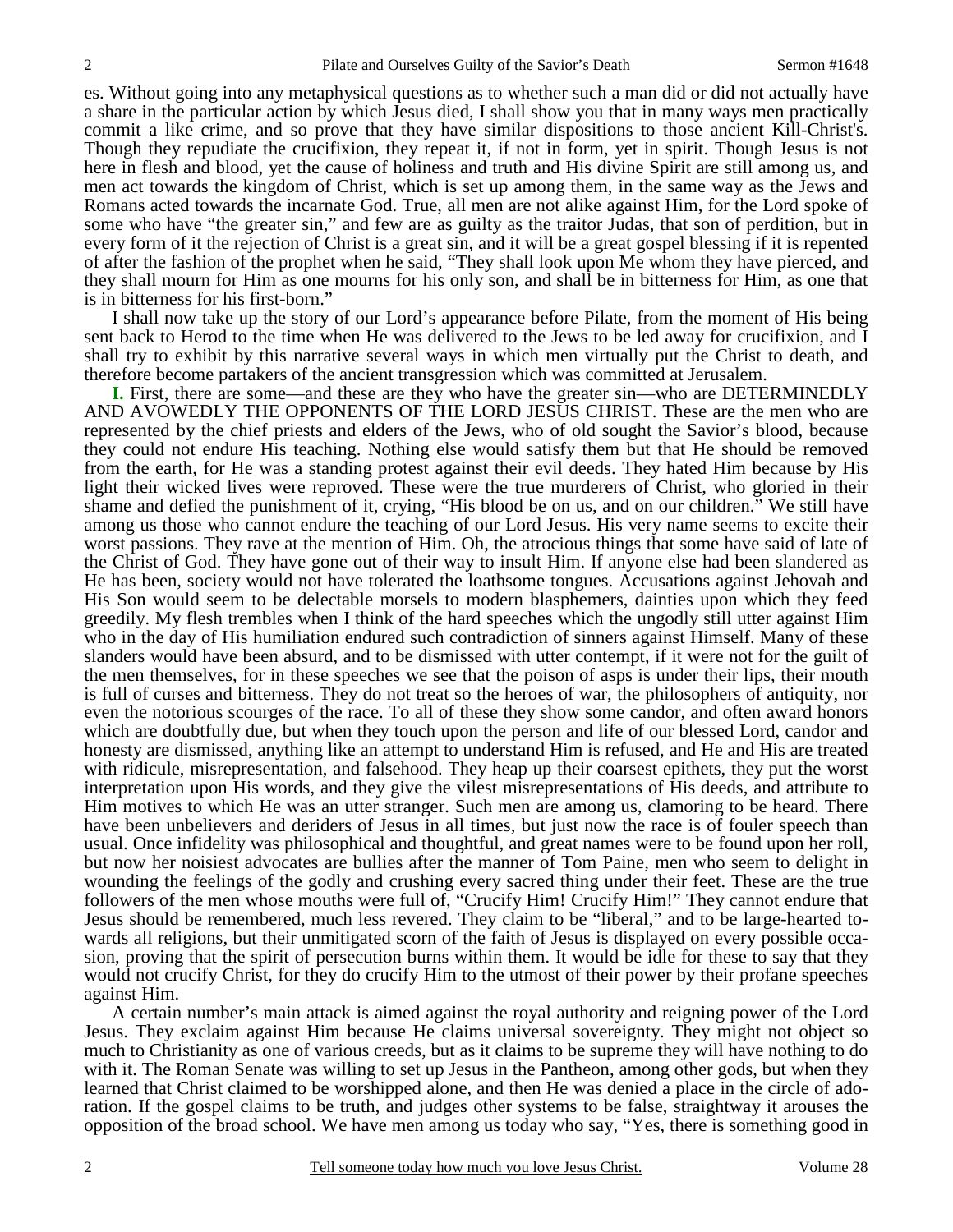es. Without going into any metaphysical questions as to whether such a man did or did not actually have a share in the particular action by which Jesus died, I shall show you that in many ways men practically commit a like crime, and so prove that they have similar dispositions to those ancient Kill-Christ's. Though they repudiate the crucifixion, they repeat it, if not in form, yet in spirit. Though Jesus is not here in flesh and blood, yet the cause of holiness and truth and His divine Spirit are still among us, and men act towards the kingdom of Christ, which is set up among them, in the same way as the Jews and Romans acted towards the incarnate God. True, all men are not alike against Him, for the Lord spoke of some who have "the greater sin," and few are as guilty as the traitor Judas, that son of perdition, but in every form of it the rejection of Christ is a great sin, and it will be a great gospel blessing if it is repented of after the fashion of the prophet when he said, "They shall look upon Me whom they have pierced, and they shall mourn for Him as one mourns for his only son, and shall be in bitterness for Him, as one that is in bitterness for his first-born."

 I shall now take up the story of our Lord's appearance before Pilate, from the moment of His being sent back to Herod to the time when He was delivered to the Jews to be led away for crucifixion, and I shall try to exhibit by this narrative several ways in which men virtually put the Christ to death, and therefore become partakers of the ancient transgression which was committed at Jerusalem.

**I.** First, there are some—and these are they who have the greater sin—who are DETERMINEDLY AND AVOWEDLY THE OPPONENTS OF THE LORD JESUS CHRIST. These are the men who are represented by the chief priests and elders of the Jews, who of old sought the Savior's blood, because they could not endure His teaching. Nothing else would satisfy them but that He should be removed from the earth, for He was a standing protest against their evil deeds. They hated Him because by His light their wicked lives were reproved. These were the true murderers of Christ, who gloried in their shame and defied the punishment of it, crying, "His blood be on us, and on our children." We still have among us those who cannot endure the teaching of our Lord Jesus. His very name seems to excite their worst passions. They rave at the mention of Him. Oh, the atrocious things that some have said of late of the Christ of God. They have gone out of their way to insult Him. If anyone else had been slandered as He has been, society would not have tolerated the loathsome tongues. Accusations against Jehovah and His Son would seem to be delectable morsels to modern blasphemers, dainties upon which they feed greedily. My flesh trembles when I think of the hard speeches which the ungodly still utter against Him who in the day of His humiliation endured such contradiction of sinners against Himself. Many of these slanders would have been absurd, and to be dismissed with utter contempt, if it were not for the guilt of the men themselves, for in these speeches we see that the poison of asps is under their lips, their mouth is full of curses and bitterness. They do not treat so the heroes of war, the philosophers of antiquity, nor even the notorious scourges of the race. To all of these they show some candor, and often award honors which are doubtfully due, but when they touch upon the person and life of our blessed Lord, candor and honesty are dismissed, anything like an attempt to understand Him is refused, and He and His are treated with ridicule, misrepresentation, and falsehood. They heap up their coarsest epithets, they put the worst interpretation upon His words, and they give the vilest misrepresentations of His deeds, and attribute to Him motives to which He was an utter stranger. Such men are among us, clamoring to be heard. There have been unbelievers and deriders of Jesus in all times, but just now the race is of fouler speech than usual. Once infidelity was philosophical and thoughtful, and great names were to be found upon her roll, but now her noisiest advocates are bullies after the manner of Tom Paine, men who seem to delight in wounding the feelings of the godly and crushing every sacred thing under their feet. These are the true followers of the men whose mouths were full of, "Crucify Him! Crucify Him!" They cannot endure that Jesus should be remembered, much less revered. They claim to be "liberal," and to be large-hearted towards all religions, but their unmitigated scorn of the faith of Jesus is displayed on every possible occasion, proving that the spirit of persecution burns within them. It would be idle for these to say that they would not crucify Christ, for they do crucify Him to the utmost of their power by their profane speeches against Him.

 A certain number's main attack is aimed against the royal authority and reigning power of the Lord Jesus. They exclaim against Him because He claims universal sovereignty. They might not object so much to Christianity as one of various creeds, but as it claims to be supreme they will have nothing to do with it. The Roman Senate was willing to set up Jesus in the Pantheon, among other gods, but when they learned that Christ claimed to be worshipped alone, and then He was denied a place in the circle of adoration. If the gospel claims to be truth, and judges other systems to be false, straightway it arouses the opposition of the broad school. We have men among us today who say, "Yes, there is something good in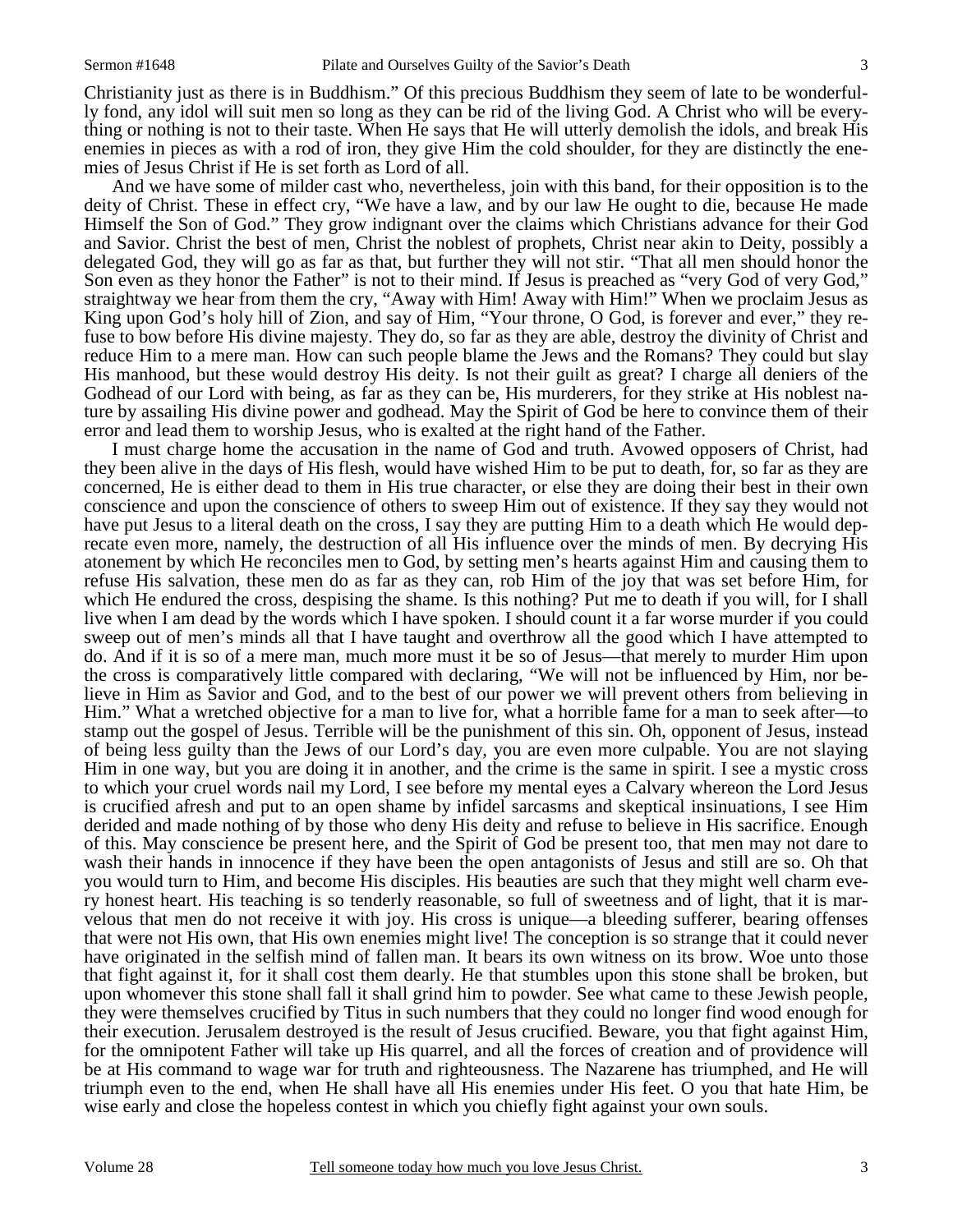Christianity just as there is in Buddhism." Of this precious Buddhism they seem of late to be wonderfully fond, any idol will suit men so long as they can be rid of the living God. A Christ who will be everything or nothing is not to their taste. When He says that He will utterly demolish the idols, and break His enemies in pieces as with a rod of iron, they give Him the cold shoulder, for they are distinctly the enemies of Jesus Christ if He is set forth as Lord of all.

 And we have some of milder cast who, nevertheless, join with this band, for their opposition is to the deity of Christ. These in effect cry, "We have a law, and by our law He ought to die, because He made Himself the Son of God." They grow indignant over the claims which Christians advance for their God and Savior. Christ the best of men, Christ the noblest of prophets, Christ near akin to Deity, possibly a delegated God, they will go as far as that, but further they will not stir. "That all men should honor the Son even as they honor the Father" is not to their mind. If Jesus is preached as "very God of very God," straightway we hear from them the cry, "Away with Him! Away with Him!" When we proclaim Jesus as King upon God's holy hill of Zion, and say of Him, "Your throne, O God, is forever and ever," they refuse to bow before His divine majesty. They do, so far as they are able, destroy the divinity of Christ and reduce Him to a mere man. How can such people blame the Jews and the Romans? They could but slay His manhood, but these would destroy His deity. Is not their guilt as great? I charge all deniers of the Godhead of our Lord with being, as far as they can be, His murderers, for they strike at His noblest nature by assailing His divine power and godhead. May the Spirit of God be here to convince them of their error and lead them to worship Jesus, who is exalted at the right hand of the Father.

 I must charge home the accusation in the name of God and truth. Avowed opposers of Christ, had they been alive in the days of His flesh, would have wished Him to be put to death, for, so far as they are concerned, He is either dead to them in His true character, or else they are doing their best in their own conscience and upon the conscience of others to sweep Him out of existence. If they say they would not have put Jesus to a literal death on the cross, I say they are putting Him to a death which He would deprecate even more, namely, the destruction of all His influence over the minds of men. By decrying His atonement by which He reconciles men to God, by setting men's hearts against Him and causing them to refuse His salvation, these men do as far as they can, rob Him of the joy that was set before Him, for which He endured the cross, despising the shame. Is this nothing? Put me to death if you will, for I shall live when I am dead by the words which I have spoken. I should count it a far worse murder if you could sweep out of men's minds all that I have taught and overthrow all the good which I have attempted to do. And if it is so of a mere man, much more must it be so of Jesus—that merely to murder Him upon the cross is comparatively little compared with declaring, "We will not be influenced by Him, nor believe in Him as Savior and God, and to the best of our power we will prevent others from believing in Him." What a wretched objective for a man to live for, what a horrible fame for a man to seek after—to stamp out the gospel of Jesus. Terrible will be the punishment of this sin. Oh, opponent of Jesus, instead of being less guilty than the Jews of our Lord's day, you are even more culpable. You are not slaying Him in one way, but you are doing it in another, and the crime is the same in spirit. I see a mystic cross to which your cruel words nail my Lord, I see before my mental eyes a Calvary whereon the Lord Jesus is crucified afresh and put to an open shame by infidel sarcasms and skeptical insinuations, I see Him derided and made nothing of by those who deny His deity and refuse to believe in His sacrifice. Enough of this. May conscience be present here, and the Spirit of God be present too, that men may not dare to wash their hands in innocence if they have been the open antagonists of Jesus and still are so. Oh that you would turn to Him, and become His disciples. His beauties are such that they might well charm every honest heart. His teaching is so tenderly reasonable, so full of sweetness and of light, that it is marvelous that men do not receive it with joy. His cross is unique—a bleeding sufferer, bearing offenses that were not His own, that His own enemies might live! The conception is so strange that it could never have originated in the selfish mind of fallen man. It bears its own witness on its brow. Woe unto those that fight against it, for it shall cost them dearly. He that stumbles upon this stone shall be broken, but upon whomever this stone shall fall it shall grind him to powder. See what came to these Jewish people, they were themselves crucified by Titus in such numbers that they could no longer find wood enough for their execution. Jerusalem destroyed is the result of Jesus crucified. Beware, you that fight against Him, for the omnipotent Father will take up His quarrel, and all the forces of creation and of providence will be at His command to wage war for truth and righteousness. The Nazarene has triumphed, and He will triumph even to the end, when He shall have all His enemies under His feet. O you that hate Him, be wise early and close the hopeless contest in which you chiefly fight against your own souls.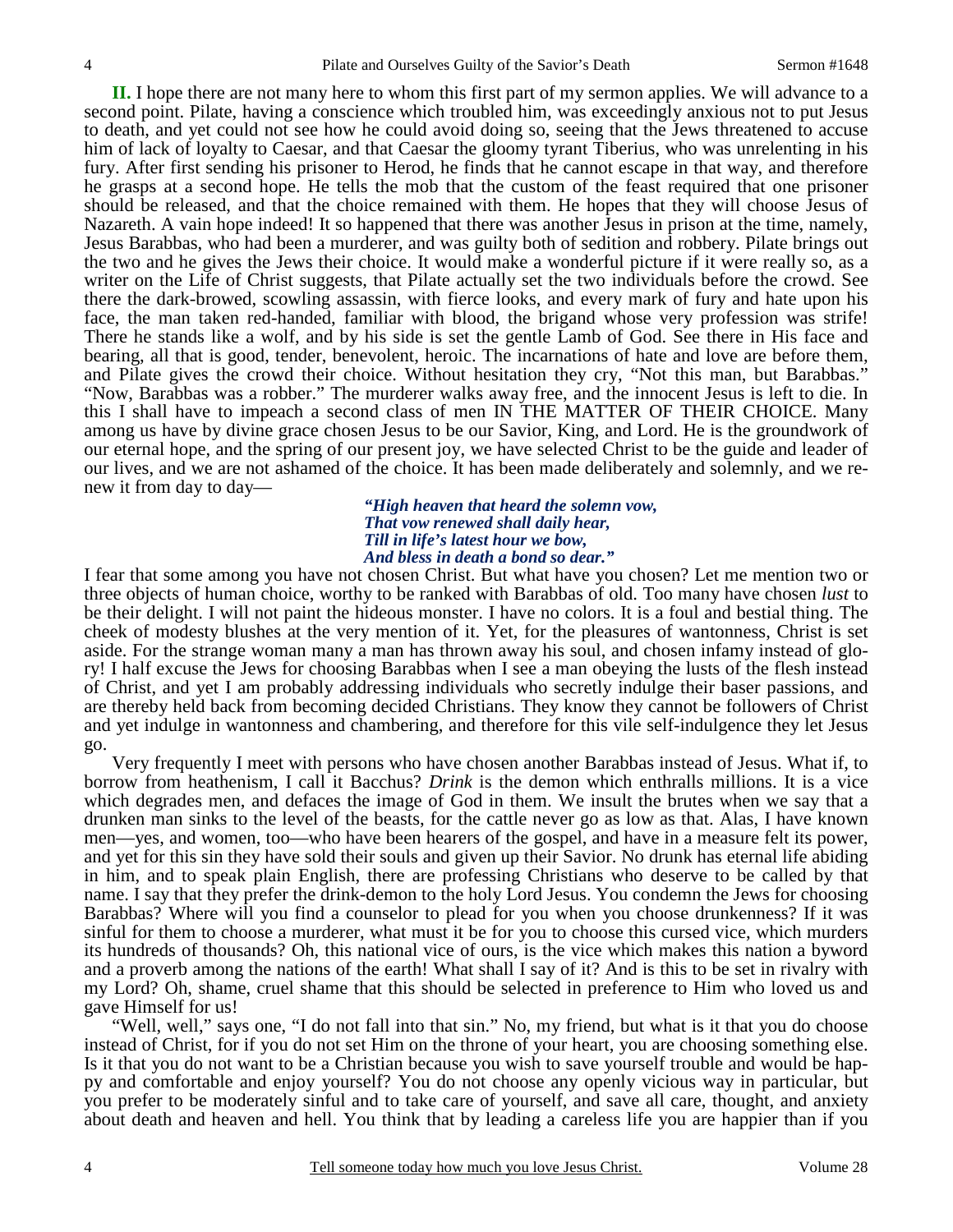**II.** I hope there are not many here to whom this first part of my sermon applies. We will advance to a second point. Pilate, having a conscience which troubled him, was exceedingly anxious not to put Jesus to death, and yet could not see how he could avoid doing so, seeing that the Jews threatened to accuse him of lack of loyalty to Caesar, and that Caesar the gloomy tyrant Tiberius, who was unrelenting in his fury. After first sending his prisoner to Herod, he finds that he cannot escape in that way, and therefore he grasps at a second hope. He tells the mob that the custom of the feast required that one prisoner should be released, and that the choice remained with them. He hopes that they will choose Jesus of Nazareth. A vain hope indeed! It so happened that there was another Jesus in prison at the time, namely, Jesus Barabbas, who had been a murderer, and was guilty both of sedition and robbery. Pilate brings out the two and he gives the Jews their choice. It would make a wonderful picture if it were really so, as a writer on the Life of Christ suggests, that Pilate actually set the two individuals before the crowd. See there the dark-browed, scowling assassin, with fierce looks, and every mark of fury and hate upon his face, the man taken red-handed, familiar with blood, the brigand whose very profession was strife! There he stands like a wolf, and by his side is set the gentle Lamb of God. See there in His face and bearing, all that is good, tender, benevolent, heroic. The incarnations of hate and love are before them, and Pilate gives the crowd their choice. Without hesitation they cry, "Not this man, but Barabbas." "Now, Barabbas was a robber." The murderer walks away free, and the innocent Jesus is left to die. In this I shall have to impeach a second class of men IN THE MATTER OF THEIR CHOICE. Many among us have by divine grace chosen Jesus to be our Savior, King, and Lord. He is the groundwork of our eternal hope, and the spring of our present joy, we have selected Christ to be the guide and leader of our lives, and we are not ashamed of the choice. It has been made deliberately and solemnly, and we renew it from day to day—

*"High heaven that heard the solemn vow, That vow renewed shall daily hear, Till in life's latest hour we bow, And bless in death a bond so dear."* 

I fear that some among you have not chosen Christ. But what have you chosen? Let me mention two or three objects of human choice, worthy to be ranked with Barabbas of old. Too many have chosen *lust* to be their delight. I will not paint the hideous monster. I have no colors. It is a foul and bestial thing. The cheek of modesty blushes at the very mention of it. Yet, for the pleasures of wantonness, Christ is set aside. For the strange woman many a man has thrown away his soul, and chosen infamy instead of glory! I half excuse the Jews for choosing Barabbas when I see a man obeying the lusts of the flesh instead of Christ, and yet I am probably addressing individuals who secretly indulge their baser passions, and are thereby held back from becoming decided Christians. They know they cannot be followers of Christ and yet indulge in wantonness and chambering, and therefore for this vile self-indulgence they let Jesus go.

 Very frequently I meet with persons who have chosen another Barabbas instead of Jesus. What if, to borrow from heathenism, I call it Bacchus? *Drink* is the demon which enthralls millions. It is a vice which degrades men, and defaces the image of God in them. We insult the brutes when we say that a drunken man sinks to the level of the beasts, for the cattle never go as low as that. Alas, I have known men—yes, and women, too—who have been hearers of the gospel, and have in a measure felt its power, and yet for this sin they have sold their souls and given up their Savior. No drunk has eternal life abiding in him, and to speak plain English, there are professing Christians who deserve to be called by that name. I say that they prefer the drink-demon to the holy Lord Jesus. You condemn the Jews for choosing Barabbas? Where will you find a counselor to plead for you when you choose drunkenness? If it was sinful for them to choose a murderer, what must it be for you to choose this cursed vice, which murders its hundreds of thousands? Oh, this national vice of ours, is the vice which makes this nation a byword and a proverb among the nations of the earth! What shall I say of it? And is this to be set in rivalry with my Lord? Oh, shame, cruel shame that this should be selected in preference to Him who loved us and gave Himself for us!

"Well, well," says one, "I do not fall into that sin." No, my friend, but what is it that you do choose instead of Christ, for if you do not set Him on the throne of your heart, you are choosing something else. Is it that you do not want to be a Christian because you wish to save yourself trouble and would be happy and comfortable and enjoy yourself? You do not choose any openly vicious way in particular, but you prefer to be moderately sinful and to take care of yourself, and save all care, thought, and anxiety about death and heaven and hell. You think that by leading a careless life you are happier than if you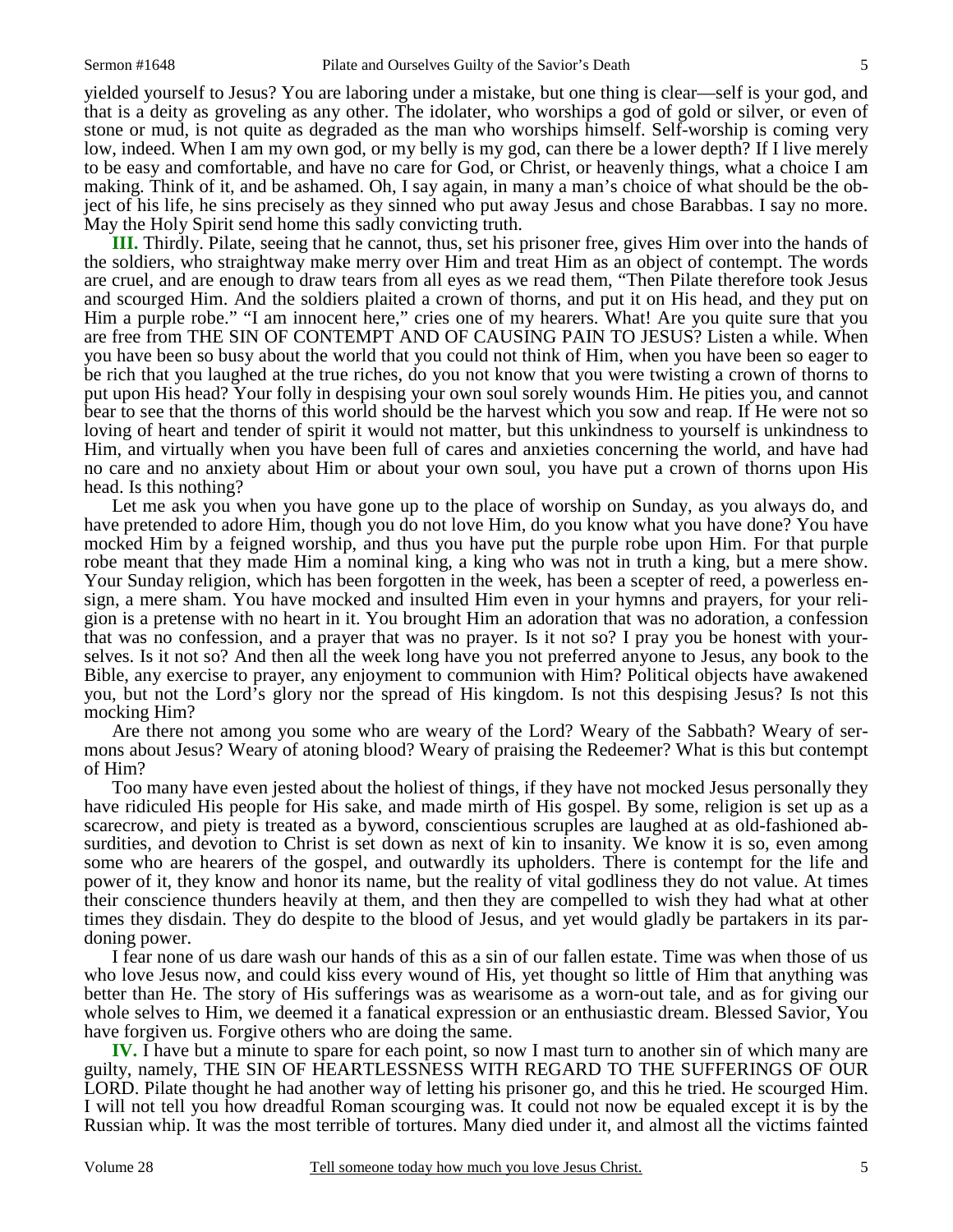yielded yourself to Jesus? You are laboring under a mistake, but one thing is clear—self is your god, and that is a deity as groveling as any other. The idolater, who worships a god of gold or silver, or even of stone or mud, is not quite as degraded as the man who worships himself. Self-worship is coming very low, indeed. When I am my own god, or my belly is my god, can there be a lower depth? If I live merely to be easy and comfortable, and have no care for God, or Christ, or heavenly things, what a choice I am making. Think of it, and be ashamed. Oh, I say again, in many a man's choice of what should be the object of his life, he sins precisely as they sinned who put away Jesus and chose Barabbas. I say no more. May the Holy Spirit send home this sadly convicting truth.

**III.** Thirdly. Pilate, seeing that he cannot, thus, set his prisoner free, gives Him over into the hands of the soldiers, who straightway make merry over Him and treat Him as an object of contempt. The words are cruel, and are enough to draw tears from all eyes as we read them, "Then Pilate therefore took Jesus and scourged Him. And the soldiers plaited a crown of thorns, and put it on His head, and they put on Him a purple robe." "I am innocent here," cries one of my hearers. What! Are you quite sure that you are free from THE SIN OF CONTEMPT AND OF CAUSING PAIN TO JESUS? Listen a while. When you have been so busy about the world that you could not think of Him, when you have been so eager to be rich that you laughed at the true riches, do you not know that you were twisting a crown of thorns to put upon His head? Your folly in despising your own soul sorely wounds Him. He pities you, and cannot bear to see that the thorns of this world should be the harvest which you sow and reap. If He were not so loving of heart and tender of spirit it would not matter, but this unkindness to yourself is unkindness to Him, and virtually when you have been full of cares and anxieties concerning the world, and have had no care and no anxiety about Him or about your own soul, you have put a crown of thorns upon His head. Is this nothing?

 Let me ask you when you have gone up to the place of worship on Sunday, as you always do, and have pretended to adore Him, though you do not love Him, do you know what you have done? You have mocked Him by a feigned worship, and thus you have put the purple robe upon Him. For that purple robe meant that they made Him a nominal king, a king who was not in truth a king, but a mere show. Your Sunday religion, which has been forgotten in the week, has been a scepter of reed, a powerless ensign, a mere sham. You have mocked and insulted Him even in your hymns and prayers, for your religion is a pretense with no heart in it. You brought Him an adoration that was no adoration, a confession that was no confession, and a prayer that was no prayer. Is it not so? I pray you be honest with yourselves. Is it not so? And then all the week long have you not preferred anyone to Jesus, any book to the Bible, any exercise to prayer, any enjoyment to communion with Him? Political objects have awakened you, but not the Lord's glory nor the spread of His kingdom. Is not this despising Jesus? Is not this mocking Him?

 Are there not among you some who are weary of the Lord? Weary of the Sabbath? Weary of sermons about Jesus? Weary of atoning blood? Weary of praising the Redeemer? What is this but contempt of Him?

 Too many have even jested about the holiest of things, if they have not mocked Jesus personally they have ridiculed His people for His sake, and made mirth of His gospel. By some, religion is set up as a scarecrow, and piety is treated as a byword, conscientious scruples are laughed at as old-fashioned absurdities, and devotion to Christ is set down as next of kin to insanity. We know it is so, even among some who are hearers of the gospel, and outwardly its upholders. There is contempt for the life and power of it, they know and honor its name, but the reality of vital godliness they do not value. At times their conscience thunders heavily at them, and then they are compelled to wish they had what at other times they disdain. They do despite to the blood of Jesus, and yet would gladly be partakers in its pardoning power.

 I fear none of us dare wash our hands of this as a sin of our fallen estate. Time was when those of us who love Jesus now, and could kiss every wound of His, yet thought so little of Him that anything was better than He. The story of His sufferings was as wearisome as a worn-out tale, and as for giving our whole selves to Him, we deemed it a fanatical expression or an enthusiastic dream. Blessed Savior, You have forgiven us. Forgive others who are doing the same.

**IV.** I have but a minute to spare for each point, so now I mast turn to another sin of which many are guilty, namely, THE SIN OF HEARTLESSNESS WITH REGARD TO THE SUFFERINGS OF OUR LORD. Pilate thought he had another way of letting his prisoner go, and this he tried. He scourged Him. I will not tell you how dreadful Roman scourging was. It could not now be equaled except it is by the Russian whip. It was the most terrible of tortures. Many died under it, and almost all the victims fainted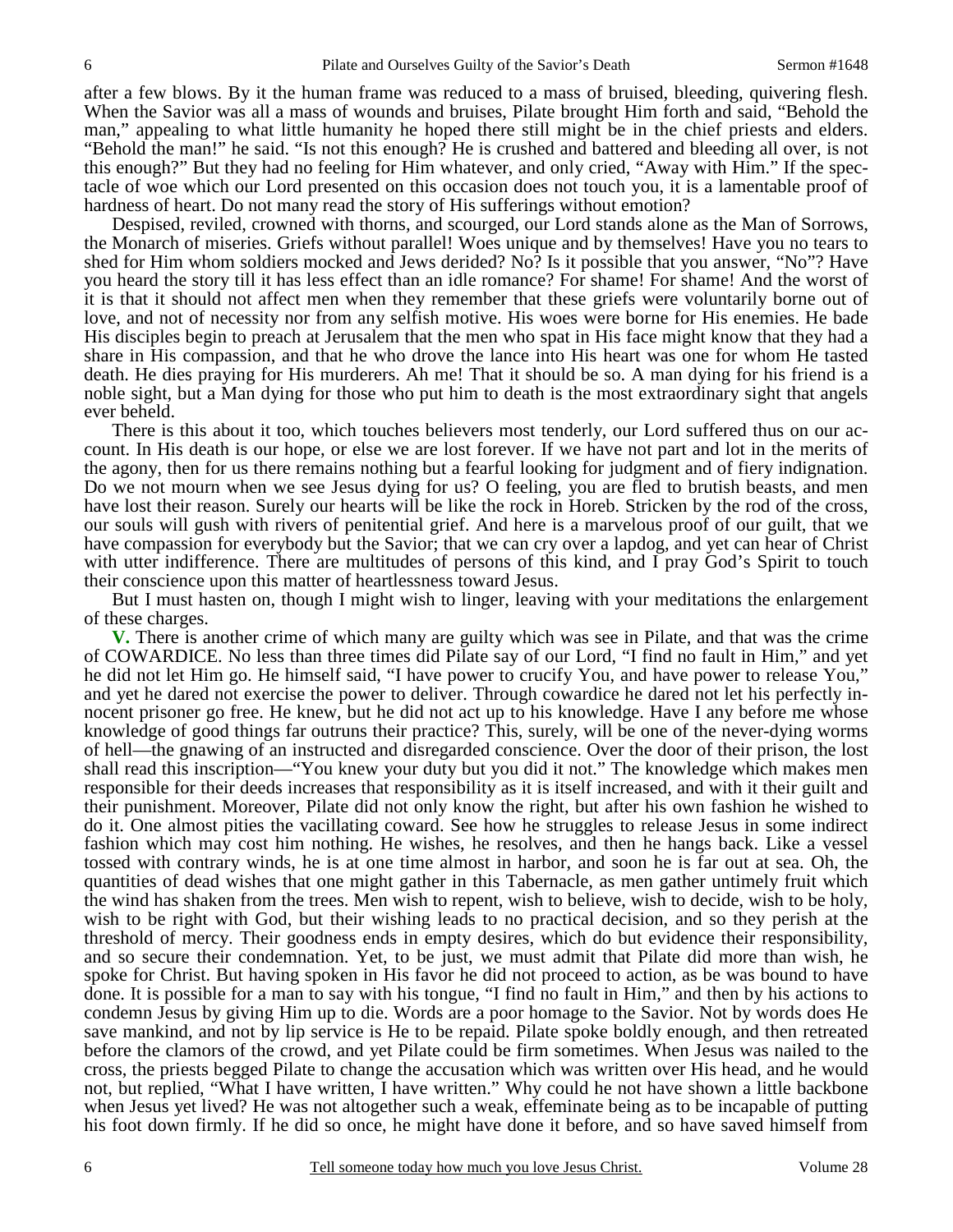after a few blows. By it the human frame was reduced to a mass of bruised, bleeding, quivering flesh. When the Savior was all a mass of wounds and bruises, Pilate brought Him forth and said, "Behold the man," appealing to what little humanity he hoped there still might be in the chief priests and elders. "Behold the man!" he said. "Is not this enough? He is crushed and battered and bleeding all over, is not this enough?" But they had no feeling for Him whatever, and only cried, "Away with Him." If the spectacle of woe which our Lord presented on this occasion does not touch you, it is a lamentable proof of hardness of heart. Do not many read the story of His sufferings without emotion?

 Despised, reviled, crowned with thorns, and scourged, our Lord stands alone as the Man of Sorrows, the Monarch of miseries. Griefs without parallel! Woes unique and by themselves! Have you no tears to shed for Him whom soldiers mocked and Jews derided? No? Is it possible that you answer, "No"? Have you heard the story till it has less effect than an idle romance? For shame! For shame! And the worst of it is that it should not affect men when they remember that these griefs were voluntarily borne out of love, and not of necessity nor from any selfish motive. His woes were borne for His enemies. He bade His disciples begin to preach at Jerusalem that the men who spat in His face might know that they had a share in His compassion, and that he who drove the lance into His heart was one for whom He tasted death. He dies praying for His murderers. Ah me! That it should be so. A man dying for his friend is a noble sight, but a Man dying for those who put him to death is the most extraordinary sight that angels ever beheld.

 There is this about it too, which touches believers most tenderly, our Lord suffered thus on our account. In His death is our hope, or else we are lost forever. If we have not part and lot in the merits of the agony, then for us there remains nothing but a fearful looking for judgment and of fiery indignation. Do we not mourn when we see Jesus dying for us? O feeling, you are fled to brutish beasts, and men have lost their reason. Surely our hearts will be like the rock in Horeb. Stricken by the rod of the cross, our souls will gush with rivers of penitential grief. And here is a marvelous proof of our guilt, that we have compassion for everybody but the Savior; that we can cry over a lapdog, and yet can hear of Christ with utter indifference. There are multitudes of persons of this kind, and I pray God's Spirit to touch their conscience upon this matter of heartlessness toward Jesus.

 But I must hasten on, though I might wish to linger, leaving with your meditations the enlargement of these charges.

**V.** There is another crime of which many are guilty which was see in Pilate, and that was the crime of COWARDICE. No less than three times did Pilate say of our Lord, "I find no fault in Him," and yet he did not let Him go. He himself said, "I have power to crucify You, and have power to release You," and yet he dared not exercise the power to deliver. Through cowardice he dared not let his perfectly innocent prisoner go free. He knew, but he did not act up to his knowledge. Have I any before me whose knowledge of good things far outruns their practice? This, surely, will be one of the never-dying worms of hell—the gnawing of an instructed and disregarded conscience. Over the door of their prison, the lost shall read this inscription—"You knew your duty but you did it not." The knowledge which makes men responsible for their deeds increases that responsibility as it is itself increased, and with it their guilt and their punishment. Moreover, Pilate did not only know the right, but after his own fashion he wished to do it. One almost pities the vacillating coward. See how he struggles to release Jesus in some indirect fashion which may cost him nothing. He wishes, he resolves, and then he hangs back. Like a vessel tossed with contrary winds, he is at one time almost in harbor, and soon he is far out at sea. Oh, the quantities of dead wishes that one might gather in this Tabernacle, as men gather untimely fruit which the wind has shaken from the trees. Men wish to repent, wish to believe, wish to decide, wish to be holy, wish to be right with God, but their wishing leads to no practical decision, and so they perish at the threshold of mercy. Their goodness ends in empty desires, which do but evidence their responsibility, and so secure their condemnation. Yet, to be just, we must admit that Pilate did more than wish, he spoke for Christ. But having spoken in His favor he did not proceed to action, as be was bound to have done. It is possible for a man to say with his tongue, "I find no fault in Him," and then by his actions to condemn Jesus by giving Him up to die. Words are a poor homage to the Savior. Not by words does He save mankind, and not by lip service is He to be repaid. Pilate spoke boldly enough, and then retreated before the clamors of the crowd, and yet Pilate could be firm sometimes. When Jesus was nailed to the cross, the priests begged Pilate to change the accusation which was written over His head, and he would not, but replied, "What I have written, I have written." Why could he not have shown a little backbone when Jesus yet lived? He was not altogether such a weak, effeminate being as to be incapable of putting his foot down firmly. If he did so once, he might have done it before, and so have saved himself from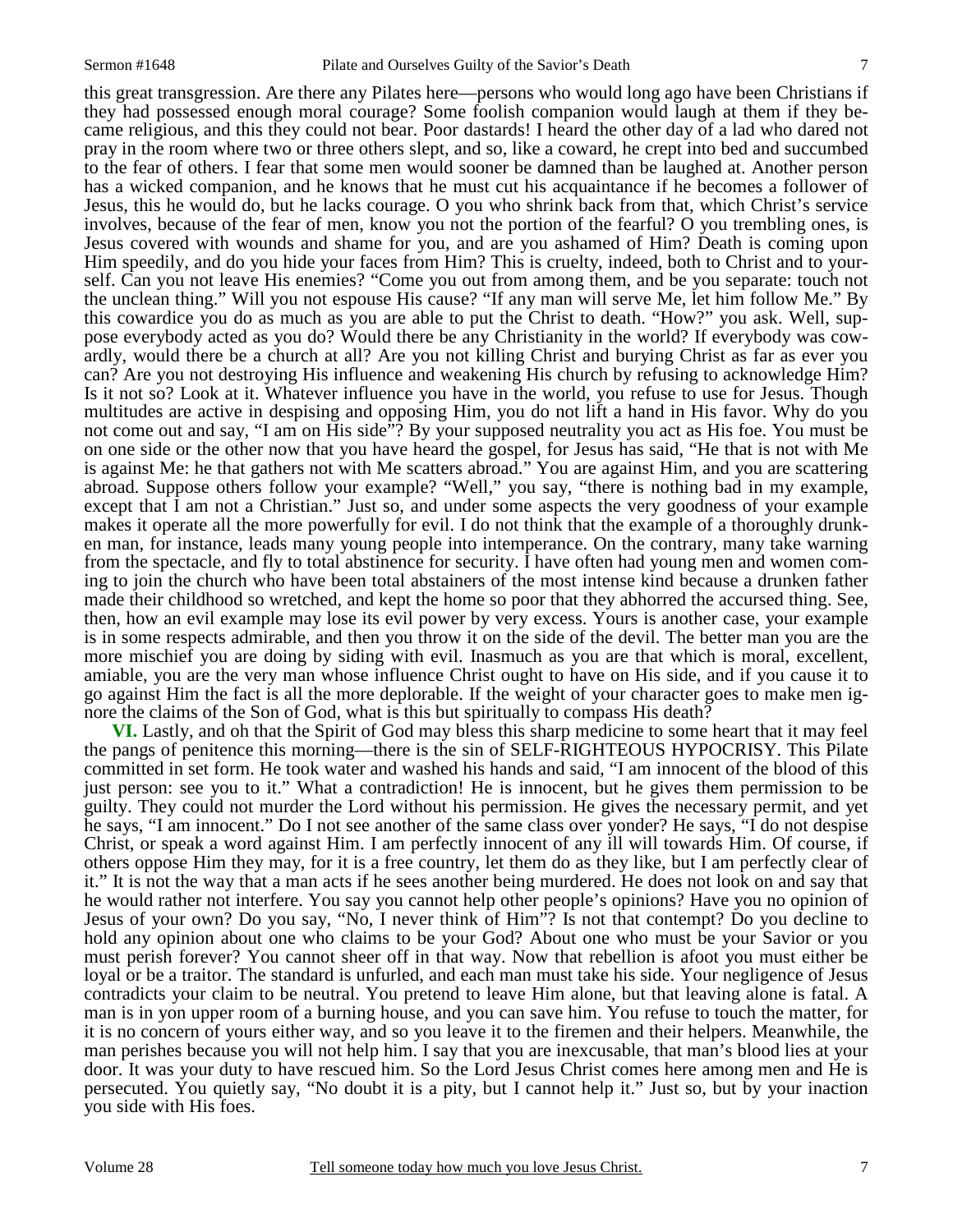this great transgression. Are there any Pilates here—persons who would long ago have been Christians if they had possessed enough moral courage? Some foolish companion would laugh at them if they became religious, and this they could not bear. Poor dastards! I heard the other day of a lad who dared not pray in the room where two or three others slept, and so, like a coward, he crept into bed and succumbed to the fear of others. I fear that some men would sooner be damned than be laughed at. Another person has a wicked companion, and he knows that he must cut his acquaintance if he becomes a follower of Jesus, this he would do, but he lacks courage. O you who shrink back from that, which Christ's service involves, because of the fear of men, know you not the portion of the fearful? O you trembling ones, is Jesus covered with wounds and shame for you, and are you ashamed of Him? Death is coming upon Him speedily, and do you hide your faces from Him? This is cruelty, indeed, both to Christ and to yourself. Can you not leave His enemies? "Come you out from among them, and be you separate: touch not the unclean thing." Will you not espouse His cause? "If any man will serve Me, let him follow Me." By this cowardice you do as much as you are able to put the Christ to death. "How?" you ask. Well, suppose everybody acted as you do? Would there be any Christianity in the world? If everybody was cowardly, would there be a church at all? Are you not killing Christ and burying Christ as far as ever you can? Are you not destroying His influence and weakening His church by refusing to acknowledge Him? Is it not so? Look at it. Whatever influence you have in the world, you refuse to use for Jesus. Though multitudes are active in despising and opposing Him, you do not lift a hand in His favor. Why do you not come out and say, "I am on His side"? By your supposed neutrality you act as His foe. You must be on one side or the other now that you have heard the gospel, for Jesus has said, "He that is not with Me is against Me: he that gathers not with Me scatters abroad." You are against Him, and you are scattering abroad. Suppose others follow your example? "Well," you say, "there is nothing bad in my example, except that I am not a Christian." Just so, and under some aspects the very goodness of your example makes it operate all the more powerfully for evil. I do not think that the example of a thoroughly drunken man, for instance, leads many young people into intemperance. On the contrary, many take warning from the spectacle, and fly to total abstinence for security. I have often had young men and women coming to join the church who have been total abstainers of the most intense kind because a drunken father made their childhood so wretched, and kept the home so poor that they abhorred the accursed thing. See, then, how an evil example may lose its evil power by very excess. Yours is another case, your example is in some respects admirable, and then you throw it on the side of the devil. The better man you are the more mischief you are doing by siding with evil. Inasmuch as you are that which is moral, excellent, amiable, you are the very man whose influence Christ ought to have on His side, and if you cause it to go against Him the fact is all the more deplorable. If the weight of your character goes to make men ignore the claims of the Son of God, what is this but spiritually to compass His death?

**VI.** Lastly, and oh that the Spirit of God may bless this sharp medicine to some heart that it may feel the pangs of penitence this morning—there is the sin of SELF-RIGHTEOUS HYPOCRISY. This Pilate committed in set form. He took water and washed his hands and said, "I am innocent of the blood of this just person: see you to it." What a contradiction! He is innocent, but he gives them permission to be guilty. They could not murder the Lord without his permission. He gives the necessary permit, and yet he says, "I am innocent." Do I not see another of the same class over yonder? He says, "I do not despise Christ, or speak a word against Him. I am perfectly innocent of any ill will towards Him. Of course, if others oppose Him they may, for it is a free country, let them do as they like, but I am perfectly clear of it." It is not the way that a man acts if he sees another being murdered. He does not look on and say that he would rather not interfere. You say you cannot help other people's opinions? Have you no opinion of Jesus of your own? Do you say, "No, I never think of Him"? Is not that contempt? Do you decline to hold any opinion about one who claims to be your God? About one who must be your Savior or you must perish forever? You cannot sheer off in that way. Now that rebellion is afoot you must either be loyal or be a traitor. The standard is unfurled, and each man must take his side. Your negligence of Jesus contradicts your claim to be neutral. You pretend to leave Him alone, but that leaving alone is fatal. A man is in yon upper room of a burning house, and you can save him. You refuse to touch the matter, for it is no concern of yours either way, and so you leave it to the firemen and their helpers. Meanwhile, the man perishes because you will not help him. I say that you are inexcusable, that man's blood lies at your door. It was your duty to have rescued him. So the Lord Jesus Christ comes here among men and He is persecuted. You quietly say, "No doubt it is a pity, but I cannot help it." Just so, but by your inaction you side with His foes.